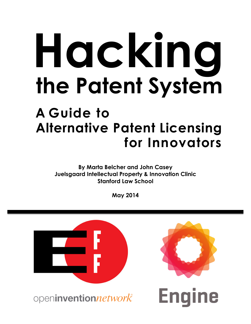# **Hacking the Patent System**

# **Alternative Patent Licensing for Innovators A Guide to**

**By Marta Belcher and John Casey Juelsgaard Intellectual Property & Innovation Clinic Stanford Law School** 

**May 2014**

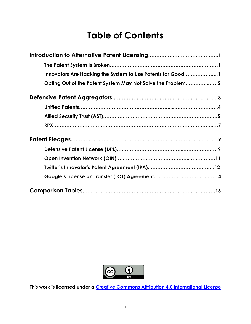# **Table of Contents**

| Innovators Are Hacking the System to Use Patents for Good1 |
|------------------------------------------------------------|
| Opting Out of the Patent System May Not Solve the Problem2 |
|                                                            |
|                                                            |
|                                                            |
|                                                            |
|                                                            |
|                                                            |
|                                                            |
|                                                            |
|                                                            |
|                                                            |



**This work is licensed under a [Creative Commons Attribution 4.0 International License](http://creativecommons.org/licenses/by/4.0/)**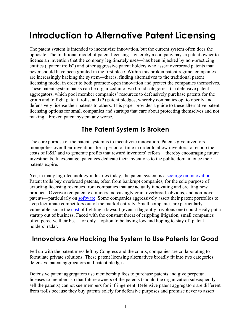# <span id="page-2-0"></span>**Introduction to Alternative Patent Licensing**

The patent system is intended to incentivize innovation, but the current system often does the opposite. The traditional model of patent licensing—whereby a company pays a patent owner to license an invention that the company legitimately uses—has been hijacked by non-practicing entities ("patent trolls") and other aggressive patent holders who assert overbroad patents that never should have been granted in the first place. Within this broken patent regime, companies are increasingly hacking the system—that is, finding alternatives to the traditional patent licensing model in order to both promote open innovation and protect the companies themselves. These patent system hacks can be organized into two broad categories: (1) defensive patent aggregators, which pool member companies' resources to defensively purchase patents for the group and to fight patent trolls, and (2) patent pledges, whereby companies opt to openly and defensively license their patents to others. This paper provides a guide to these alternative patent licensing options for small companies and startups that care about protecting themselves and not making a broken patent system any worse.

## **The Patent System Is Broken**

The core purpose of the patent system is to incentivize innovation. Patents give inventors monopolies over their inventions for a period of time in order to allow inventors to recoup the costs of R&D and to generate profits that reward inventors' efforts—thereby encouraging future investments. In exchange, patentees dedicate their inventions to the public domain once their patents expire.

Yet, in many high-technology industries today, the patent system is a [scourge on innovation.](https://www.eff.org/patent) Patent trolls buy overbroad patents, often from bankrupt companies, for the sole purpose of extorting licensing revenues from companies that are actually innovating and creating new products. Overworked patent examiners increasingly grant overbroad, obvious, and non-novel patents—particularly on [software. S](https://www.eff.org/deeplinks/2014/03/why-patent-office-so-bad-reviewing-software-patents)ome companies aggressively assert their patent portfolios to keep legitimate competitors out of the market entirely. Small companies are particularly vulnerable, since th[e cost](https://www.eff.org/issues/how-patents-hinder-innovation) of fighting a lawsuit (even a flagrantly frivolous one) could easily put a startup out of business. Faced with the constant threat of crippling litigation, small companies often perceive their best—or only—option to be laying low and hoping to stay off patent holders' radar.

## **Innovators Are Hacking the System to Use Patents for Good**

Fed up with the patent mess left by Congress and the courts, companies are collaborating to formulate private solutions. These patent licensing alternatives broadly fit into two categories: defensive patent aggregators and patent pledges.

Defensive patent aggregators use membership fees to purchase patents and give perpetual licenses to members so that future owners of the patents (should the organization subsequently sell the patents) cannot sue members for infringement. Defensive patent aggregators are different from trolls because they buy patents solely for defensive purposes and promise never to assert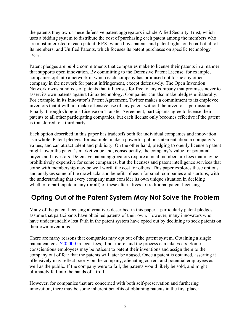<span id="page-3-0"></span>the patents they own. These defensive patent aggregators include Allied Security Trust, which uses a bidding system to distribute the cost of purchasing each patent among the members who are most interested in each patent; RPX, which buys patents and patent rights on behalf of all of its members; and Unified Patents, which focuses its patent purchases on specific technology areas.

Patent pledges are public commitments that companies make to license their patents in a manner that supports open innovation. By committing to the Defensive Patent License, for example, companies opt into a network in which each company has promised not to sue any other company in the network for patent infringement, except defensively. The Open Invention Network owns hundreds of patents that it licenses for free to any company that promises never to assert its own patents against Linux technology. Companies can also make pledges unilaterally. For example, in its Innovator's Patent Agreement, Twitter makes a commitment to its employee inventors that it will not make offensive use of any patent without the inventor's permission. Finally, through Google's License on Transfer Agreement, participants agree to license their patents to all other participating companies, but each license only becomes effective if the patent is transferred to a third party.

Each option described in this paper has tradeoffs both for individual companies and innovation as a whole. Patent pledges, for example, make a powerful public statement about a company's values, and can attract talent and publicity. On the other hand, pledging to openly license a patent might lower the patent's market value and, consequently, the company's value for potential buyers and investors. Defensive patent aggregators require annual membership fees that may be prohibitively expensive for some companies, but the licenses and patent intelligence services that come with membership may be well worth the cost for others. This paper explores these options and analyzes some of the drawbacks and benefits of each for small companies and startups, with the understanding that every company must consider its own unique situation in deciding whether to participate in any (or all) of these alternatives to traditional patent licensing.

## **Opting Out of the Patent System May Not Solve the Problem**

Many of the patent licensing alternatives described in this paper—particularly patent pledges assume that participants have obtained patents of their own. However, many innovators who have understandably lost faith in the patent system have opted out by declining to seek patents on their own inventions.

There are many reasons that companies may opt out of the patent system. Obtaining a single patent can cost [\\$20,000](https://www.eff.org/patent) in legal fees, if not more, and the process can take years. Some conscientious employees may be reticent to patent their inventions and assign them to the company out of fear that the patents will later be abused. Once a patent is obtained, asserting it offensively may reflect poorly on the company, alienating current and potential employees as well as the public. If the company were to fail, the patents would likely be sold, and might ultimately fall into the hands of a troll.

However, for companies that are concerned with both self-preservation and furthering innovation, there may be some inherent benefits of obtaining patents in the first place: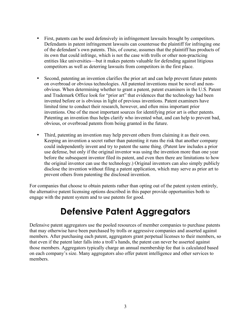- <span id="page-4-0"></span>• First, patents can be used defensively in infringement lawsuits brought by competitors. Defendants in patent infringement lawsuits can countersue the plaintiff for infringing one of the defendant's own patents. This, of course, assumes that the plaintiff has products of its own that could infringe, which is not the case with trolls or other non-practicing entities like universities—but it makes patents valuable for defending against litigious competitors as well as deterring lawsuits from competitors in the first place.
- Second, patenting an invention clarifies the prior art and can help prevent future patents on overbroad or obvious technologies. All patented inventions must be novel and nonobvious. When determining whether to grant a patent, patent examiners in the U.S. Patent and Trademark Office look for "prior art" that evidences that the technology had been invented before or is obvious in light of previous inventions. Patent examiners have limited time to conduct their research, however, and often miss important prior inventions. One of the most important sources for identifying prior art is other patents. Patenting an invention thus helps clarify who invented what, and can help to prevent bad, obvious, or overbroad patents from being granted in the future.
- Third, patenting an invention may help prevent others from claiming it as their own. Keeping an invention a secret rather than patenting it runs the risk that another company could independently invent and try to patent the same thing. (Patent law includes a prior use defense, but only if the original inventor was using the invention more than one year before the subsequent inventor filed its patent, and even then there are limitations to how the original inventor can use the technology.) Original inventors can also simply publicly disclose the invention without filing a patent application, which may serve as prior art to prevent others from patenting the disclosed invention.

For companies that choose to obtain patents rather than opting out of the patent system entirely, the alternative patent licensing options described in this paper provide opportunities both to engage with the patent system and to use patents for good.

# **Defensive Patent Aggregators**

Defensive patent aggregators use the pooled resources of member companies to purchase patents that may otherwise have been purchased by trolls or aggressive companies and asserted against members. After purchasing each patent, aggregators grant perpetual licenses to their members, so that even if the patent later falls into a troll's hands, the patent can never be asserted against those members. Aggregators typically charge an annual membership fee that is calculated based on each company's size. Many aggregators also offer patent intelligence and other services to members.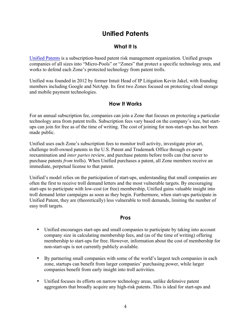## **Unified Patents**

#### **What It Is**

<span id="page-5-0"></span>[Unified Patents](http://unifiedpatents.com/) is a subscription-based patent risk management organization. Unified groups companies of all sizes into "Micro-Pools" or "Zones" that protect a specific technology area, and works to defend each Zone's protected technology from patent trolls.

Unified was founded in 2012 by former Intuit Head of IP Litigation Kevin Jakel, with founding members including Google and NetApp. Its first two Zones focused on protecting cloud storage and mobile payment technologies.

#### **How It Works**

For an annual subscription fee, companies can join a Zone that focuses on protecting a particular technology area from patent trolls. Subscription fees vary based on the company's size, but startups can join for free as of the time of writing. The cost of joining for non-start-ups has not been made public.

Unified uses each Zone's subscription fees to monitor troll activity, investigate prior art, challenge troll-owned patents in the U.S. Patent and Trademark Office through ex-parte reexamination and *inter partes* review, and purchase patents before trolls can (but never to purchase patents *from* trolls). When Unified purchases a patent, all Zone members receive an immediate, perpetual license to that patent.

Unified's model relies on the participation of start-ups, understanding that small companies are often the first to receive troll demand letters and the most vulnerable targets. By encouraging start-ups to participate with low-cost (or free) membership, Unified gains valuable insight into troll demand letter campaigns as soon as they begin. Furthermore, when start-ups participate in Unified Patent, they are (theoretically) less vulnerable to troll demands, limiting the number of easy troll targets.

#### **Pros**

- Unified encourages start-ups and small companies to participate by taking into account company size in calculating membership fees, and (as of the time of writing) offering membership to start-ups for free. However, information about the cost of membership for non-start-ups is not currently publicly available.
- By partnering small companies with some of the world's largest tech companies in each zone, startups can benefit from larger companies' purchasing power, while larger companies benefit from early insight into troll activities.
- Unified focuses its efforts on narrow technology areas, unlike defensive patent aggregators that broadly acquire any high-risk patents. This is ideal for start-ups and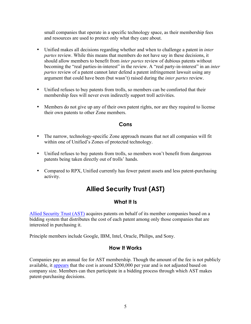<span id="page-6-0"></span>small companies that operate in a specific technology space, as their membership fees and resources are used to protect only what they care about.

- Unified makes all decisions regarding whether and when to challenge a patent in *inter partes* review. While this means that members do not have say in these decisions, it should allow members to benefit from *inter partes* review of dubious patents without becoming the "real parties-in-interest" in the review. A "real party-in-interest" in an *inter partes* review of a patent cannot later defend a patent infringement lawsuit using any argument that could have been (but wasn't) raised during the *inter partes* review.
- Unified refuses to buy patents from trolls, so members can be comforted that their membership fees will never even indirectly support troll activities.
- Members do not give up any of their own patent rights, nor are they required to license their own patents to other Zone members.

#### **Cons**

- The narrow, technology-specific Zone approach means that not all companies will fit within one of Unified's Zones of protected technology.
- Unified refuses to buy patents from trolls, so members won't benefit from dangerous patents being taken directly out of trolls' hands.
- Compared to RPX, Unified currently has fewer patent assets and less patent-purchasing activity.

## **Allied Security Trust (AST)**

#### **What It Is**

[Allied Security Trust \(AST\)](http://www.alliedsecuritytrust.com/) acquires patents on behalf of its member companies based on a bidding system that distributes the cost of each patent among only those companies that are interested in purchasing it.

Principle members include Google, IBM, Intel, Oracle, Philips, and Sony.

#### **How It Works**

Companies pay an annual fee for AST membership. Though the amount of the fee is not publicly available, it [appears](http://books.google.com/books?id=-W1EAAAAQBAJ) that the cost is around \$200,000 per year and is not adjusted based on company size. Members can then participate in a bidding process through which AST makes patent-purchasing decisions.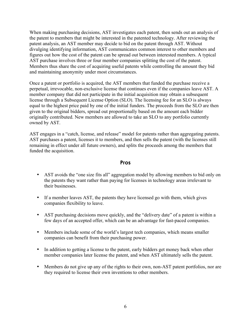When making purchasing decisions, AST investigates each patent, then sends out an analysis of the patent to members that might be interested in the patented technology. After reviewing the patent analysis, an AST member may decide to bid on the patent through AST. Without divulging identifying information, AST communicates common interest to other members and figures out how the cost of the patent can be spread out between interested members. A typical AST purchase involves three or four member companies splitting the cost of the patent. Members thus share the cost of acquiring useful patents while controlling the amount they bid and maintaining anonymity under most circumstances.

Once a patent or portfolio is acquired, the AST members that funded the purchase receive a perpetual, irrevocable, non-exclusive license that continues even if the companies leave AST. A member company that did not participate in the initial acquisition may obtain a subsequent license through a Subsequent License Option (SLO). The licensing fee for an SLO is always equal to the highest price paid by one of the initial funders. The proceeds from the SLO are then given to the original bidders, spread out proportionally based on the amount each bidder originally contributed. New members are allowed to take an SLO to any portfolio currently owned by AST.

AST engages in a "catch, license, and release" model for patents rather than aggregating patents. AST purchases a patent, licenses it to members, and then sells the patent (with the licenses still remaining in effect under all future owners), and splits the proceeds among the members that funded the acquisition.

#### **Pros**

- AST avoids the "one size fits all" aggregation model by allowing members to bid only on the patents they want rather than paying for licenses in technology areas irrelevant to their businesses.
- If a member leaves AST, the patents they have licensed go with them, which gives companies flexibility to leave.
- AST purchasing decisions move quickly, and the "delivery date" of a patent is within a few days of an accepted offer, which can be an advantage for fast-paced companies.
- Members include some of the world's largest tech companies, which means smaller companies can benefit from their purchasing power.
- In addition to getting a license to the patent, early bidders get money back when other member companies later license the patent, and when AST ultimately sells the patent.
- Members do not give up any of the rights to their own, non-AST patent portfolios, nor are they required to license their own inventions to other members.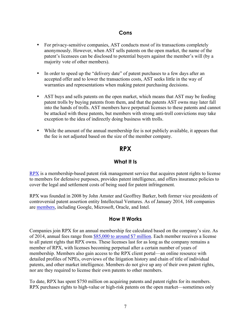#### **Cons**

- <span id="page-8-0"></span>• For privacy-sensitive companies, AST conducts most of its transactions completely anonymously. However, when AST sells patents on the open market, the name of the patent's licensees can be disclosed to potential buyers against the member's will (by a majority vote of other members).
- In order to speed up the "delivery date" of patent purchases to a few days after an accepted offer and to lower the transactions costs, AST seeks little in the way of warranties and representations when making patent purchasing decisions.
- AST buys and sells patents on the open market, which means that AST may be feeding patent trolls by buying patents from them, and that the patents AST owns may later fall into the hands of trolls. AST members have perpetual licenses to these patents and cannot be attacked with these patents, but members with strong anti-troll convictions may take exception to the idea of indirectly doing business with trolls.
- While the amount of the annual membership fee is not publicly available, it appears that the fee is not adjusted based on the size of the member company.

#### **RPX**

#### **What It Is**

[RPX](http://www.rpxcorp.com/) is a membership-based patent risk management service that acquires patent rights to license to members for defensive purposes, provides patent intelligence, and offers insurance policies to cover the legal and settlement costs of being sued for patent infringement.

RPX was founded in 2008 by John Amster and Geoffrey Barker, both former vice presidents of controversial patent assertion entity Intellectual Ventures. As of January 2014, 168 companies ar[e members,](http://www.rpxcorp.com/rpx-client-network) including Google, Microsoft, Oracle, and Intel.

#### **How It Works**

Companies join RPX for an annual membership fee calculated based on the company's size. As of 2014, annual fees range from [\\$85,000 to around \\$7 million.](http://files.shareholder.com/downloads/ABEA-5XYKB4/0x0x523306/4CC42999-6166-4C95-8192-9CE54759BE8D/RPXQ3Invest_Web.pdf) Each member receives a license to all patent rights that RPX owns. These licenses last for as long as the company remains a member of RPX, with licenses becoming perpetual after a certain number of years of membership. Members also gain access to the RPX client portal—an online resource with detailed profiles of NPEs, overviews of the litigation history and chain of title of individual patents, and other market intelligence. Members do not give up any of their own patent rights, nor are they required to license their own patents to other members.

To date, RPX has spent \$750 million on acquiring patents and patent rights for its members. RPX purchases rights to high-value or high-risk patents on the open market—sometimes only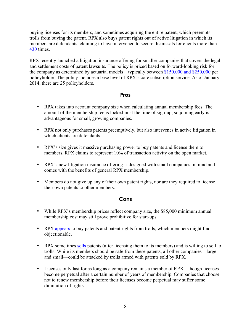buying licenses for its members, and sometimes acquiring the entire patent, which preempts trolls from buying the patent. RPX also buys patent rights out of active litigation in which its members are defendants, claiming to have intervened to secure dismissals for clients more than [430](http://www.rpxcorp.com/why-join-rpx) times.

RPX recently launched a litigation insurance offering for smaller companies that covers the legal and settlement costs of patent lawsuits. The policy is priced based on forward-looking risk for the company as determined by actuarial models—typically between [\\$150,000 and \\$250,000](http://files.shareholder.com/downloads/ABEA-5XYKB4/0x0x523306/4CC42999-6166-4C95-8192-9CE54759BE8D/RPXQ3Invest_Web.pdf) per policyholder. The policy includes a base level of RPX's core subscription service. As of January 2014, there are 25 policyholders.

#### **Pros**

- RPX takes into account company size when calculating annual membership fees. The amount of the membership fee is locked in at the time of sign-up, so joining early is advantageous for small, growing companies.
- RPX not only purchases patents preemptively, but also intervenes in active litigation in which clients are defendants.
- RPX's size gives it massive purchasing power to buy patents and license them to members. RPX claims to represent 10% of transaction activity on the open market.
- RPX's new litigation insurance offering is designed with small companies in mind and comes with the benefits of general RPX membership.
- Members do not give up any of their own patent rights, nor are they required to license their own patents to other members.

#### **Cons**

- While RPX's membership prices reflect company size, the \$85,000 minimum annual membership cost may still prove prohibitive for start-ups.
- RPX [appears](http://seekingalpha.com/article/906021-rpx-pursues-more-license-option-agreements) to buy patents and patent rights from trolls, which members might find objectionable.
- RPX sometimes [sells](http://pando.com/2013/09/09/rpx-and-the-complicated-business-of-stockpiling-patents-for-good-not-evil/) patents (after licensing them to its members) and is willing to sell to trolls. While its members should be safe from these patents, all other companies—large and small—could be attacked by trolls armed with patents sold by RPX.
- Licenses only last for as long as a company remains a member of RPX—though licenses become perpetual after a certain number of years of membership. Companies that choose not to renew membership before their licenses become perpetual may suffer some diminution of rights.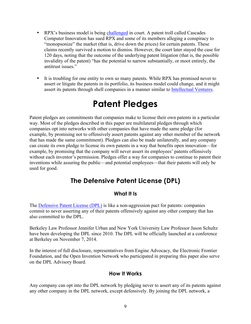- <span id="page-10-0"></span>• RPX's business model is bein[g challenged](http://about.bloomberglaw.com/law-reports/patent-trolls-hub-and-spokes-conspiracy-to-monopsonize-claims-survive-dismissal/) in court. A patent troll called Cascades Computer Innovation has sued RPX and some of its members alleging a conspiracy to "monopsonize" the market (that is, drive down the prices) for certain patents. These claims recently survived a motion to dismiss. However, the court later stayed the case for 120 days, noting that the outcome of the underlying patent litigation (that is, the possible invalidity of the patent) "has the potential to narrow substantially, or moot entirely, the antitrust issues."
- It is troubling for one entity to own so many patents. While RPX has promised never to assert or litigate the patents in its portfolio, its business model could change, and it might assert its patents through shell companies in a manner similar to [Intellectual Ventures.](http://www.stanford.edu/dept/law/ipsc/Paper%20PDF/Feldman%20&%20Ewing%20-%20Paper.pdf)

# **Patent Pledges**

Patent pledges are commitments that companies make to license their own patents in a particular way. Most of the pledges described in this paper are multilateral pledges through which companies opt into networks with other companies that have made the same pledge (for example, by promising not to offensively assert patents against any other member of the network that has made the same commitment). Pledges can also be made unilaterally, and any company can create its own pledge to license its own patents in a way that benefits open innovation—for example, by promising that the company will never assert its employees' patents offensively without each inventor's permission. Pledges offer a way for companies to continue to patent their inventions while assuring the public—and potential employees—that their patents will only be used for good.

## **The Defensive Patent License (DPL)**

#### **What It Is**

The [Defensive Patent License \(DPL\)](http://www.defensivepatentlicense.com/) is like a non-aggression pact for patents: companies commit to never asserting any of their patents offensively against any other company that has also committed to the DPL.

Berkeley Law Professor Jennifer Urban and New York University Law Professor Jason Schultz have been developing the DPL since 2010. The DPL will be officially launched at a conference at Berkeley on November 7, 2014.

In the interest of full disclosure, representatives from Engine Advocacy, the Electronic Frontier Foundation, and the Open Invention Network who participated in preparing this paper also serve on the DPL Advisory Board.

#### **How It Works**

Any company can opt into the DPL network by pledging never to assert any of its patents against any other company in the DPL network, except defensively. By joining the DPL network, a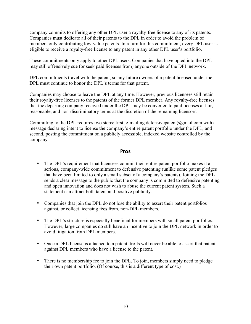company commits to offering any other DPL user a royalty-free license to any of its patents. Companies must dedicate all of their patents to the DPL in order to avoid the problem of members only contributing low-value patents. In return for this commitment, every DPL user is eligible to receive a royalty-free license to any patent in any other DPL user's portfolio.

These commitments only apply to other DPL users. Companies that have opted into the DPL may still offensively sue (or seek paid licenses from) anyone outside of the DPL network.

DPL commitments travel with the patent, so any future owners of a patent licensed under the DPL must continue to honor the DPL's terms for that patent.

Companies may choose to leave the DPL at any time. However, previous licensees still retain their royalty-free licenses to the patents of the former DPL member. Any royalty-free licenses that the departing company received under the DPL may be converted to paid licenses at fair, reasonable, and non-discriminatory terms at the discretion of the remaining licensors.

Committing to the DPL requires two steps: first, e-mailing defensive patent  $\omega$  gmail.com with a message declaring intent to license the company's entire patent portfolio under the DPL, and second, posting the commitment on a publicly accessible, indexed website controlled by the company.

#### **Pros**

- The DPL's requirement that licensees commit their entire patent portfolio makes it a serious, company-wide commitment to defensive patenting (unlike some patent pledges that have been limited to only a small subset of a company's patents). Joining the DPL sends a clear message to the public that the company is committed to defensive patenting and open innovation and does not wish to abuse the current patent system. Such a statement can attract both talent and positive publicity.
- Companies that join the DPL do not lose the ability to assert their patent portfolios against, or collect licensing fees from, non-DPL members.
- The DPL's structure is especially beneficial for members with small patent portfolios. However, large companies do still have an incentive to join the DPL network in order to avoid litigation from DPL members.
- Once a DPL license is attached to a patent, trolls will never be able to assert that patent against DPL members who have a license to the patent.
- There is no membership fee to join the DPL. To join, members simply need to pledge their own patent portfolio. (Of course, this is a different type of cost.)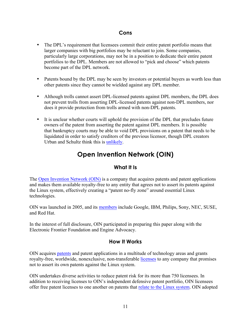#### **Cons**

- <span id="page-12-0"></span>• The DPL's requirement that licensees commit their entire patent portfolio means that larger companies with big portfolios may be reluctant to join. Some companies, particularly large corporations, may not be in a position to dedicate their entire patent portfolios to the DPL. Members are not allowed to "pick and choose" which patents become part of the DPL network.
- Patents bound by the DPL may be seen by investors or potential buyers as worth less than other patents since they cannot be wielded against any DPL member.
- Although trolls cannot assert DPL-licensed patents against DPL members, the DPL does not prevent trolls from asserting DPL-licensed patents against non-DPL members, nor does it provide protection from trolls armed with non-DPL patents.
- It is unclear whether courts will uphold the provision of the DPL that precludes future owners of the patent from asserting the patent against DPL members. It is possible that bankruptcy courts may be able to void DPL provisions on a patent that needs to be liquidated in order to satisfy creditors of the previous licensor, though DPL creators Urban and Schultz think this i[s unlikely.](http://papers.ssrn.com/sol3/papers.cfm?abstract_id=2040945)

## **Open Invention Network (OIN)**

#### **What It Is**

The [Open Invention Network \(OIN\)](http://www.openinventionnetwork.com/) is a company that acquires patents and patent applications and makes them available royalty-free to any entity that agrees not to assert its patents against the Linux system, effectively creating a "patent no-fly zone" around essential Linux technologies.

OIN was launched in 2005, and it[s members](http://www.openinventionnetwork.com/licensees.php) include Google, IBM, Philips, Sony, NEC, SUSE, and Red Hat.

In the interest of full disclosure, OIN participated in preparing this paper along with the Electronic Frontier Foundation and Engine Advocacy.

#### **How It Works**

OIN acquires [patents](http://www.openinventionnetwork.com/pat_owned.php) and patent applications in a multitude of technology areas and grants royalty-free, worldwide, nonexclusive, non-transferable [licenses](http://www.openinventionnetwork.com/joining-oin/) to any company that promises not to assert its own patents against the Linux system.

OIN undertakes diverse activities to reduce patent risk for its more than 750 licensees. In addition to receiving licenses to OIN's independent defensive patent portfolio, OIN licensees offer free patent licenses to one another on patents that relate to the [Linux system.](http://www.openinventionnetwork.com/pat_linuxdef.php) OIN adopted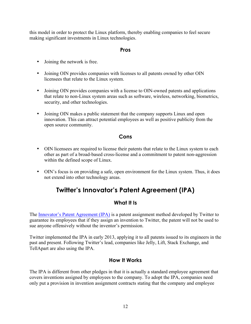<span id="page-13-0"></span>this model in order to protect the Linux platform, thereby enabling companies to feel secure making significant investments in Linux technologies.

#### **Pros**

- Joining the network is free.
- Joining OIN provides companies with licenses to all patents owned by other OIN licensees that relate to the Linux system.
- Joining OIN provides companies with a license to OIN-owned patents and applications that relate to non-Linux system areas such as software, wireless, networking, biometrics, security, and other technologies.
- Joining OIN makes a public statement that the company supports Linux and open innovation. This can attract potential employees as well as positive publicity from the open source community.

#### **Cons**

- OIN licensees are required to license their patents that relate to the Linux system to each other as part of a broad-based cross-license and a commitment to patent non-aggression within the defined scope of Linux.
- OIN's focus is on providing a safe, open environment for the Linux system. Thus, it does not extend into other technology areas.

## **Twitter's Innovator's Patent Agreement (IPA)**

#### **What It Is**

The [Innovator's Patent Agreement \(IPA\)](https://blog.twitter.com/2012/introducing-innovators-patent-agreement) is a patent assignment method developed by Twitter to guarantee its employees that if they assign an invention to Twitter, the patent will not be used to sue anyone offensively without the inventor's permission.

Twitter implemented the IPA in early 2013, applying it to all patents issued to its engineers in the past and present. Following Twitter's lead, companies like Jelly, Lift, Stack Exchange, and TellApart are also using the IPA.

#### **How It Works**

The IPA is different from other pledges in that it is actually a standard employee agreement that covers inventions assigned by employees to the company. To adopt the IPA, companies need only put a provision in invention assignment contracts stating that the company and employee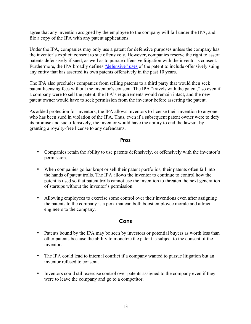agree that any invention assigned by the employee to the company will fall under the IPA, and file a copy of the IPA with any patent applications.

Under the IPA, companies may only use a patent for defensive purposes unless the company has the inventor's explicit consent to sue offensively. However, companies reserve the right to assert patents defensively if sued, as well as to pursue offensive litigation with the inventor's consent. Furthermore, the IPA broadly define[s "defensive" uses](http://techcrunch.com/2012/04/17/twitter-ipa-analysis/) of the patent to include offensively suing any entity that has asserted its own patents offensively in the past 10 years.

The IPA also precludes companies from selling patents to a third party that would then seek patent licensing fees without the inventor's consent. The IPA "travels with the patent," so even if a company were to sell the patent, the IPA's requirements would remain intact, and the new patent owner would have to seek permission from the inventor before asserting the patent.

As added protection for inventors, the IPA allows inventors to license their invention to anyone who has been sued in violation of the IPA. Thus, even if a subsequent patent owner were to defy its promise and sue offensively, the inventor would have the ability to end the lawsuit by granting a royalty-free license to any defendants.

#### **Pros**

- Companies retain the ability to use patents defensively, or offensively with the inventor's permission.
- When companies go bankrupt or sell their patent portfolios, their patents often fall into the hands of patent trolls. The IPA allows the inventor to continue to control how the patent is used so that patent trolls cannot use the invention to threaten the next generation of startups without the inventor's permission.
- Allowing employees to exercise some control over their inventions even after assigning the patents to the company is a perk that can both boost employee morale and attract engineers to the company.

#### **Cons**

- Patents bound by the IPA may be seen by investors or potential buyers as worth less than other patents because the ability to monetize the patent is subject to the consent of the inventor.
- The IPA could lead to internal conflict if a company wanted to pursue litigation but an inventor refused to consent.
- Inventors could still exercise control over patents assigned to the company even if they were to leave the company and go to a competitor.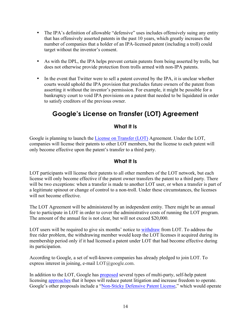- <span id="page-15-0"></span>• The IPA's definition of allowable "defensive" uses includes offensively suing any entity that has offensively asserted patents in the past 10 years, which greatly increases the number of companies that a holder of an IPA-licensed patent (including a troll) could target without the inventor's consent.
- As with the DPL, the IPA helps prevent certain patents from being asserted by trolls, but does not otherwise provide protection from trolls armed with non-IPA patents.
- In the event that Twitter were to sell a patent covered by the IPA, it is unclear whether courts would uphold the IPA provision that precludes future owners of the patent from asserting it without the inventor's permission. For example, it might be possible for a bankruptcy court to void IPA provisions on a patent that needed to be liquidated in order to satisfy creditors of the previous owner.

# **Google's License on Transfer (LOT) Agreement**

#### **What It Is**

Google is planning to launch the [License on Transfer \(LOT\)](http://www.google.com/patents/licensing/lot/) Agreement. Under the LOT, companies will license their patents to other LOT members, but the license to each patent will only become effective upon the patent's transfer to a third party.

#### **What It Is**

LOT participants will license their patents to all other members of the LOT network, but each license will only become effective if the patent owner transfers the patent to a third party. There will be two exceptions: when a transfer is made to another LOT user, or when a transfer is part of a legitimate spinout or change of control to a non-troll. Under these circumstances, the licenses will not become effective.

The LOT Agreement will be administered by an independent entity. There might be an annual fee to participate in LOT in order to cover the administrative costs of running the LOT program. The amount of the annual fee is not clear, but will not exceed \$20,000.

LOT users will be required to give six months' notice to [withdraw](https://docs.google.com/a/google.com/viewer?url=https://www.google.com/patents/licensing/doc/lot-overview-presentation.pdf) from LOT. To address the free rider problem, the withdrawing member would keep the LOT licenses it acquired during its membership period only if it had licensed a patent under LOT that had become effective during its participation.

According to Google, a set of well-known companies has already pledged to join LOT. To express interest in joining, e-mail LOT@google.com.

In addition to the LOT, Google has [proposed](http://www.google.com/patents/licensing/) several types of multi-party, self-help patent licensin[g approaches](http://www.google.com/patents/licensing/comparison/) that it hopes will reduce patent litigation and increase freedom to operate. Google's other proposals include a ["Non-Sticky Defensive Patent License,"](http://www.google.com/patents/licensing/dpl/non-sticky/) which would operate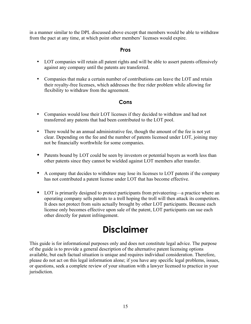in a manner similar to the DPL discussed above except that members would be able to withdraw from the pact at any time, at which point other members' licenses would expire.

#### **Pros**

- LOT companies will retain all patent rights and will be able to assert patents offensively against any company until the patents are transferred.
- Companies that make a certain number of contributions can leave the LOT and retain their royalty-free licenses, which addresses the free rider problem while allowing for flexibility to withdraw from the agreement.

#### **Cons**

- Companies would lose their LOT licenses if they decided to withdraw and had not transferred any patents that had been contributed to the LOT pool.
- There would be an annual administrative fee, though the amount of the fee is not yet clear. Depending on the fee and the number of patents licensed under LOT, joining may not be financially worthwhile for some companies.
- Patents bound by LOT could be seen by investors or potential buyers as worth less than other patents since they cannot be wielded against LOT members after transfer.
- A company that decides to withdraw may lose its licenses to LOT patents if the company has not contributed a patent license under LOT that has become effective.
- LOT is primarily designed to protect participants from privateering—a practice where an operating company sells patents to a troll hoping the troll will then attack its competitors. It does not protect from suits actually brought by other LOT participants. Because each license only becomes effective upon sale of the patent, LOT participants can sue each other directly for patent infringement.

# **Disclaimer**

This guide is for informational purposes only and does not constitute legal advice. The purpose of the guide is to provide a general description of the alternative patent licensing options available, but each factual situation is unique and requires individual consideration. Therefore, please do not act on this legal information alone; if you have any specific legal problems, issues, or questions, seek a complete review of your situation with a lawyer licensed to practice in your jurisdiction.